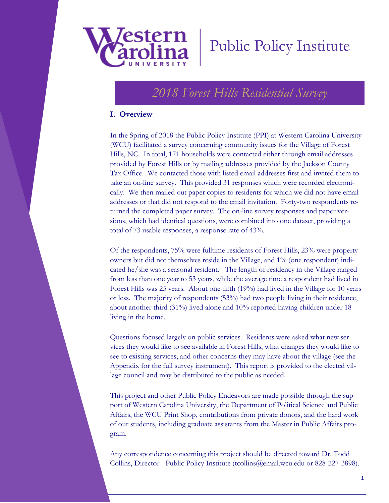

# Public Policy Institute

# *2018 Forest Hills Residential Survey*

#### **I. Overview**

In the Spring of 2018 the Public Policy Institute (PPI) at Western Carolina University (WCU) facilitated a survey concerning community issues for the Village of Forest Hills, NC. In total, 171 households were contacted either through email addresses provided by Forest Hills or by mailing addresses provided by the Jackson County Tax Office. We contacted those with listed email addresses first and invited them to take an on-line survey. This provided 31 responses which were recorded electronically. We then mailed out paper copies to residents for which we did not have email addresses or that did not respond to the email invitation. Forty-two respondents returned the completed paper survey. The on-line survey responses and paper versions, which had identical questions, were combined into one dataset, providing a total of 73 usable responses, a response rate of 43%.

Of the respondents, 75% were fulltime residents of Forest Hills, 23% were property owners but did not themselves reside in the Village, and 1% (one respondent) indicated he/she was a seasonal resident. The length of residency in the Village ranged from less than one year to 53 years, while the average time a respondent had lived in Forest Hills was 25 years. About one-fifth (19%) had lived in the Village for 10 years or less. The majority of respondents (53%) had two people living in their residence, about another third (31%) lived alone and 10% reported having children under 18 living in the home.

Questions focused largely on public services. Residents were asked what new services they would like to see available in Forest Hills, what changes they would like to see to existing services, and other concerns they may have about the village (see the Appendix for the full survey instrument). This report is provided to the elected village council and may be distributed to the public as needed.

This project and other Public Policy Endeavors are made possible through the support of Western Carolina University, the Department of Political Science and Public Affairs, the WCU Print Shop, contributions from private donors, and the hard work of our students, including graduate assistants from the Master in Public Affairs program.

Any correspondence concerning this project should be directed toward Dr. Todd Collins, Director - Public Policy Institute (tcollins@email.wcu.edu or 828-227-3898).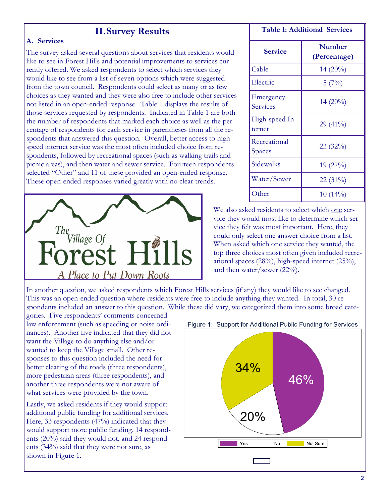### **II.Survey Results**

#### **A. Services**

The survey asked several questions about services that residents would like to see in Forest Hills and potential improvements to services currently offered. We asked respondents to select which services they would like to see from a list of seven options which were suggested from the town council. Respondents could select as many or as few choices as they wanted and they were also free to include other services not listed in an open-ended response. Table 1 displays the results of those services requested by respondents. Indicated in Table 1 are both the number of respondents that marked each choice as well as the percentage of respondents for each service in parentheses from all the respondents that answered this question. Overall, better access to highspeed internet service was the most often included choice from respondents, followed by recreational spaces (such as walking trails and picnic areas), and then water and sewer service. Fourteen respondents selected "Other" and 11 of these provided an open-ended response. These open-ended responses varied greatly with no clear trends.



| <b>Table 1: Additional Services</b> |                               |
|-------------------------------------|-------------------------------|
| <b>Service</b>                      | <b>Number</b><br>(Percentage) |
| Cable                               | 14 (20%)                      |
| Electric                            | 5(7%)                         |
| Emergency<br>Services               | $14(20\%)$                    |
| High-speed In-<br>ternet            | $29(41\%)$                    |
| Recreational<br>Spaces              | $23(32\%)$                    |
| Sidewalks                           | 19(27%)                       |
| Water/Sewer                         | $22(31\%)$                    |
| Other                               | $10(14\%)$                    |

We also asked residents to select which one service they would most like to determine which service they felt was most important. Here, they could only select one answer choice from a list. When asked which one service they wanted, the top three choices most often given included recreational spaces (28%), high-speed internet (25%), and then water/sewer (22%).

In another question, we asked respondents which Forest Hills services (if any) they would like to see changed. This was an open-ended question where residents were free to include anything they wanted. In total, 30 respondents included an answer to this question. While these did vary, we categorized them into some broad cate-

gories. Five respondents' comments concerned law enforcement (such as speeding or noise ordinances). Another five indicated that they did not want the Village to do anything else and/or wanted to keep the Village small. Other responses to this question included the need for better clearing of the roads (three respondents), more pedestrian areas (three respondents), and another three respondents were not aware of what services were provided by the town.

Lastly, we asked residents if they would support additional public funding for additional services. Here, 33 respondents (47%) indicated that they would support more public funding, 14 respondents (20%) said they would not, and 24 respondents (34%) said that they were not sure, as shown in Figure 1.

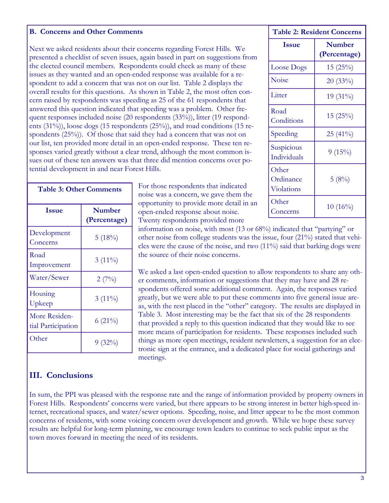#### **B. Concerns and Other Comments**

Next we asked residents about their concerns regarding Forest Hills. We presented a checklist of seven issues, again based in part on suggestions from the elected council members. Respondents could check as many of these issues as they wanted and an open-ended response was available for a respondent to add a concern that was not on our list. Table 2 displays the overall results for this questions. As shown in Table 2, the most often concern raised by respondents was speeding as 25 of the 61 respondents that answered this question indicated that speeding was a problem. Other frequent responses included noise (20 respondents (33%)), litter (19 respondents (31%)), loose dogs (15 respondents (25%)), and road conditions (15 respondents (25%)). Of those that said they had a concern that was not on our list, ten provided more detail in an open-ended response. These ten responses varied greatly without a clear trend, although the most common issues out of these ten answers was that three did mention concerns over potential development in and near Forest Hills.

| <b>Table 3: Other Comments</b>      |                               |  |
|-------------------------------------|-------------------------------|--|
| <b>Issue</b>                        | <b>Number</b><br>(Percentage) |  |
| Development<br>Concerns             | 5(18%)                        |  |
| Road<br>Improvement                 | $3(11\%)$                     |  |
| Water/Sewer                         | 2(7%)                         |  |
| Housing<br>Upkeep                   | $3(11\%)$                     |  |
| More Residen-<br>tial Participation | $6(21\%)$                     |  |
| Other                               | 9(32%)                        |  |

For those respondents that indicated noise was a concern, we gave them the opportunity to provide more detail in an open-ended response about noise. Twenty respondents provided more

| <b>Table 2: Resident Concerns</b> |                               |
|-----------------------------------|-------------------------------|
| <b>Issue</b>                      | <b>Number</b><br>(Percentage) |
| Loose Dogs                        | 15(25%)                       |
| Noise                             | 20(33%)                       |
| Litter                            | $19(31\%)$                    |
| Road<br>Conditions                | 15(25%)                       |
| Speeding                          | $25(41\%)$                    |
| Suspicious<br>Individuals         | 9(15%)                        |
| Other<br>Ordinance<br>Violations  | 5(8%)                         |
| Other<br>Concerns                 | $10(16\%)$                    |

information on noise, with most (13 or 68%) indicated that "partying" or other noise from college students was the issue, four (21%) stated that vehicles were the cause of the noise, and two (11%) said that barking dogs were the source of their noise concerns.

We asked a last open-ended question to allow respondents to share any other comments, information or suggestions that they may have and 28 respondents offered some additional comment. Again, the responses varied greatly, but we were able to put these comments into five general issue areas, with the rest placed in the "other" category. The results are displayed in Table 3. Most interesting may be the fact that six of the 28 respondents that provided a reply to this question indicated that they would like to see more means of participation for residents. These responses included such things as more open meetings, resident newsletters, a suggestion for an electronic sign at the entrance, and a dedicated place for social gatherings and meetings.

### **III. Conclusions**

In sum, the PPI was pleased with the response rate and the range of information provided by property owners in Forest Hills. Respondents' concerns were varied, but there appears to be strong interest in better high-speed internet, recreational spaces, and water/sewer options. Speeding, noise, and litter appear to be the most common concerns of residents, with some voicing concern over development and growth. While we hope these survey results are helpful for long-term planning, we encourage town leaders to continue to seek public input as the town moves forward in meeting the need of its residents.